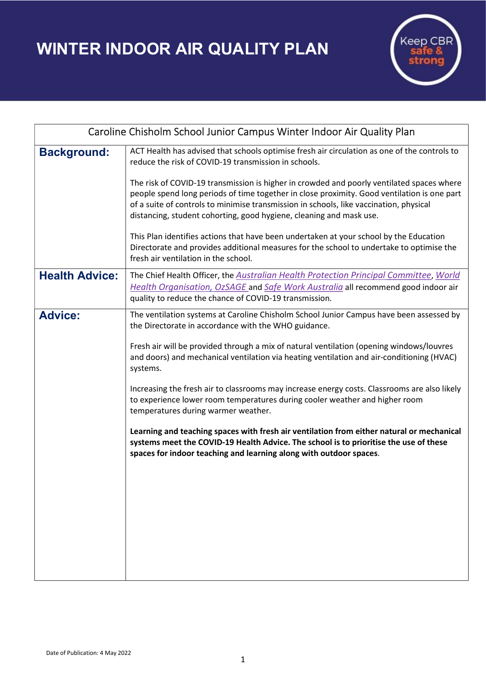WINTER INDOOR AIR QUALITY PLAN



| Caroline Chisholm School Junior Campus Winter Indoor Air Quality Plan |                                                                                                                                                                                                                                                                                                                                                                                                                                                                                                                                                                                                                                                                                                                                                                                                                                        |
|-----------------------------------------------------------------------|----------------------------------------------------------------------------------------------------------------------------------------------------------------------------------------------------------------------------------------------------------------------------------------------------------------------------------------------------------------------------------------------------------------------------------------------------------------------------------------------------------------------------------------------------------------------------------------------------------------------------------------------------------------------------------------------------------------------------------------------------------------------------------------------------------------------------------------|
| <b>Background:</b>                                                    | ACT Health has advised that schools optimise fresh air circulation as one of the controls to<br>reduce the risk of COVID-19 transmission in schools.<br>The risk of COVID-19 transmission is higher in crowded and poorly ventilated spaces where<br>people spend long periods of time together in close proximity. Good ventilation is one part<br>of a suite of controls to minimise transmission in schools, like vaccination, physical<br>distancing, student cohorting, good hygiene, cleaning and mask use.<br>This Plan identifies actions that have been undertaken at your school by the Education<br>Directorate and provides additional measures for the school to undertake to optimise the<br>fresh air ventilation in the school.                                                                                        |
| <b>Health Advice:</b>                                                 | The Chief Health Officer, the Australian Health Protection Principal Committee, World<br>Health Organisation, OzSAGE and Safe Work Australia all recommend good indoor air<br>quality to reduce the chance of COVID-19 transmission.                                                                                                                                                                                                                                                                                                                                                                                                                                                                                                                                                                                                   |
| <b>Advice:</b>                                                        | The ventilation systems at Caroline Chisholm School Junior Campus have been assessed by<br>the Directorate in accordance with the WHO guidance.<br>Fresh air will be provided through a mix of natural ventilation (opening windows/louvres<br>and doors) and mechanical ventilation via heating ventilation and air-conditioning (HVAC)<br>systems.<br>Increasing the fresh air to classrooms may increase energy costs. Classrooms are also likely<br>to experience lower room temperatures during cooler weather and higher room<br>temperatures during warmer weather.<br>Learning and teaching spaces with fresh air ventilation from either natural or mechanical<br>systems meet the COVID-19 Health Advice. The school is to prioritise the use of these<br>spaces for indoor teaching and learning along with outdoor spaces. |